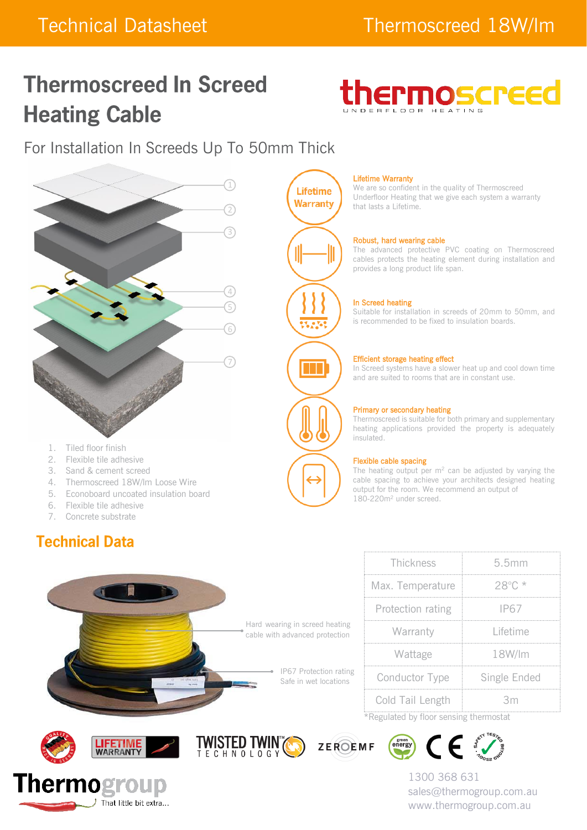# **Thermoscreed In Screed Heating Cable**



For Installation In Screeds Up To 50mm Thick



- 1. Tiled floor finish
- 2. Flexible tile adhesive
- 3. Sand & cement screed
- 4. Thermoscreed 18W/lm Loose Wire
- 5. Econoboard uncoated insulation board
- 6. Flexible tile adhesive
- 7. Concrete substrate

# **Technical Data**



#### Lifetime Warranty

We are so confident in the quality of Thermoscreed Underfloor Heating that we give each system a warranty that lasts a Lifetime.

#### Robust, hard wearing cable

The advanced protective PVC coating on Thermoscreed cables protects the heating element during installation and provides a long product life span.

#### In Screed heating

Suitable for installation in screeds of 20mm to 50mm, and is recommended to be fixed to insulation boards.

#### Efficient storage heating effect

In Screed systems have a slower heat up and cool down time and are suited to rooms that are in constant use.

#### Primary or secondary heating

Thermoscreed is suitable for both primary and supplementary heating applications provided the property is adequately insulated.

#### Flexible cable spacing

The heating output per  $m^2$  can be adjusted by varying the cable spacing to achieve your architects designed heating output for the room. We recommend an output of 180-220m<sup>2</sup> under screed.

Thickness 5.5mm

Warranty Lifetime

Wattage 18W/lm

Conductor Type Single Ended

Cold Tail Length 3m \*Regulated by floor sensing thermostat

Max. Temperature 28°C \*

Protection rating IP67













1300 368 631 sales@thermogroup.com.au www.thermogroup.com.au